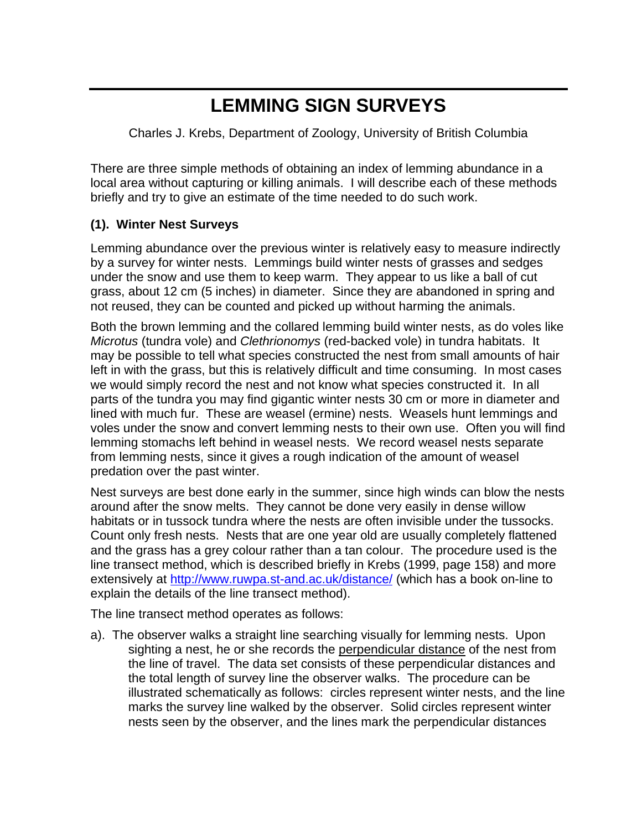# **LEMMING SIGN SURVEYS**

Charles J. Krebs, Department of Zoology, University of British Columbia

There are three simple methods of obtaining an index of lemming abundance in a local area without capturing or killing animals. I will describe each of these methods briefly and try to give an estimate of the time needed to do such work.

#### **(1). Winter Nest Surveys**

Lemming abundance over the previous winter is relatively easy to measure indirectly by a survey for winter nests. Lemmings build winter nests of grasses and sedges under the snow and use them to keep warm. They appear to us like a ball of cut grass, about 12 cm (5 inches) in diameter. Since they are abandoned in spring and not reused, they can be counted and picked up without harming the animals.

Both the brown lemming and the collared lemming build winter nests, as do voles like *Microtus* (tundra vole) and *Clethrionomys* (red-backed vole) in tundra habitats. It may be possible to tell what species constructed the nest from small amounts of hair left in with the grass, but this is relatively difficult and time consuming. In most cases we would simply record the nest and not know what species constructed it. In all parts of the tundra you may find gigantic winter nests 30 cm or more in diameter and lined with much fur. These are weasel (ermine) nests. Weasels hunt lemmings and voles under the snow and convert lemming nests to their own use. Often you will find lemming stomachs left behind in weasel nests. We record weasel nests separate from lemming nests, since it gives a rough indication of the amount of weasel predation over the past winter.

Nest surveys are best done early in the summer, since high winds can blow the nests around after the snow melts. They cannot be done very easily in dense willow habitats or in tussock tundra where the nests are often invisible under the tussocks. Count only fresh nests. Nests that are one year old are usually completely flattened and the grass has a grey colour rather than a tan colour. The procedure used is the line transect method, which is described briefly in Krebs (1999, page 158) and more extensively at<http://www.ruwpa.st-and.ac.uk/distance/> (which has a book on-line to explain the details of the line transect method).

The line transect method operates as follows:

a). The observer walks a straight line searching visually for lemming nests. Upon sighting a nest, he or she records the perpendicular distance of the nest from the line of travel. The data set consists of these perpendicular distances and the total length of survey line the observer walks. The procedure can be illustrated schematically as follows: circles represent winter nests, and the line marks the survey line walked by the observer. Solid circles represent winter nests seen by the observer, and the lines mark the perpendicular distances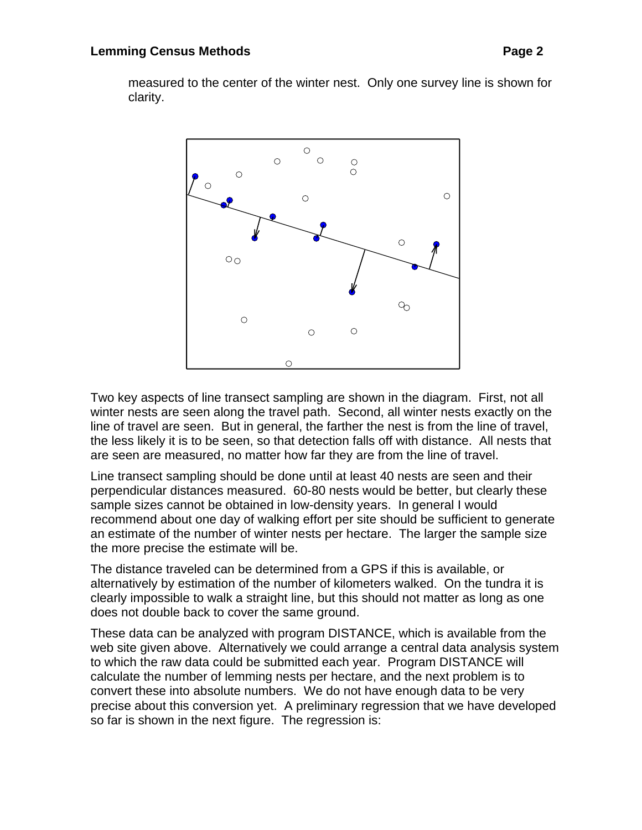measured to the center of the winter nest. Only one survey line is shown for clarity.



Two key aspects of line transect sampling are shown in the diagram. First, not all winter nests are seen along the travel path. Second, all winter nests exactly on the line of travel are seen. But in general, the farther the nest is from the line of travel, the less likely it is to be seen, so that detection falls off with distance. All nests that are seen are measured, no matter how far they are from the line of travel.

Line transect sampling should be done until at least 40 nests are seen and their perpendicular distances measured. 60-80 nests would be better, but clearly these sample sizes cannot be obtained in low-density years. In general I would recommend about one day of walking effort per site should be sufficient to generate an estimate of the number of winter nests per hectare. The larger the sample size the more precise the estimate will be.

The distance traveled can be determined from a GPS if this is available, or alternatively by estimation of the number of kilometers walked. On the tundra it is clearly impossible to walk a straight line, but this should not matter as long as one does not double back to cover the same ground.

These data can be analyzed with program DISTANCE, which is available from the web site given above. Alternatively we could arrange a central data analysis system to which the raw data could be submitted each year. Program DISTANCE will calculate the number of lemming nests per hectare, and the next problem is to convert these into absolute numbers. We do not have enough data to be very precise about this conversion yet. A preliminary regression that we have developed so far is shown in the next figure. The regression is: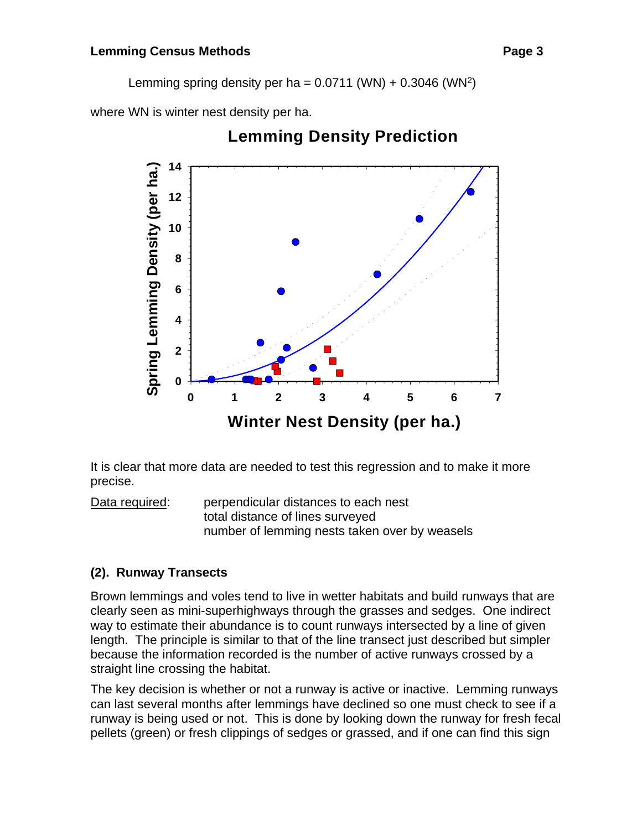Lemming spring density per ha =  $0.0711$  (WN) +  $0.3046$  (WN<sup>2</sup>)

where WN is winter nest density per ha.



# **Lemming Density Prediction**

It is clear that more data are needed to test this regression and to make it more precise.

Data required: perpendicular distances to each nest total distance of lines surveyed number of lemming nests taken over by weasels

# **(2). Runway Transects**

Brown lemmings and voles tend to live in wetter habitats and build runways that are clearly seen as mini-superhighways through the grasses and sedges. One indirect way to estimate their abundance is to count runways intersected by a line of given length. The principle is similar to that of the line transect just described but simpler because the information recorded is the number of active runways crossed by a straight line crossing the habitat.

The key decision is whether or not a runway is active or inactive. Lemming runways can last several months after lemmings have declined so one must check to see if a runway is being used or not. This is done by looking down the runway for fresh fecal pellets (green) or fresh clippings of sedges or grassed, and if one can find this sign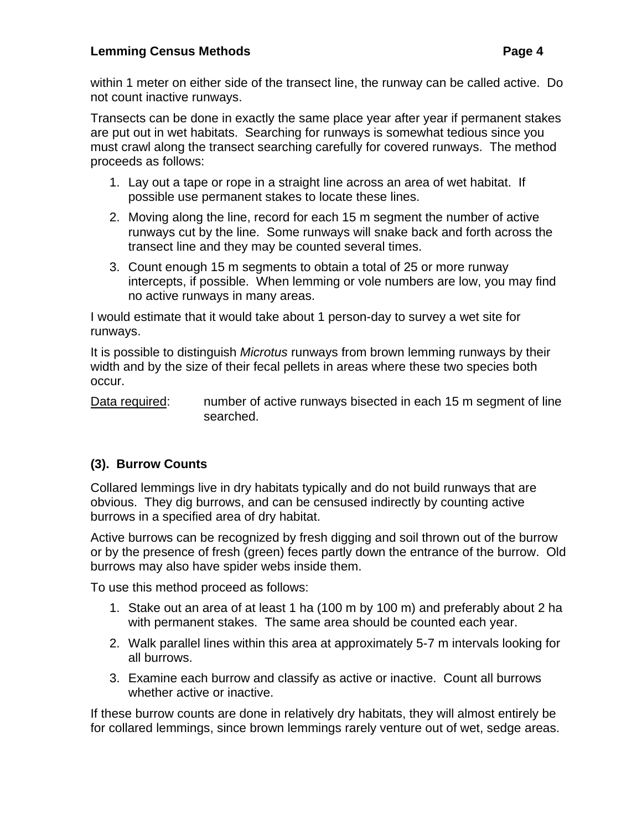#### **Lemming Census Methods Page 4**

within 1 meter on either side of the transect line, the runway can be called active. Do not count inactive runways.

Transects can be done in exactly the same place year after year if permanent stakes are put out in wet habitats. Searching for runways is somewhat tedious since you must crawl along the transect searching carefully for covered runways. The method proceeds as follows:

- 1. Lay out a tape or rope in a straight line across an area of wet habitat. If possible use permanent stakes to locate these lines.
- 2. Moving along the line, record for each 15 m segment the number of active runways cut by the line. Some runways will snake back and forth across the transect line and they may be counted several times.
- 3. Count enough 15 m segments to obtain a total of 25 or more runway intercepts, if possible. When lemming or vole numbers are low, you may find no active runways in many areas.

I would estimate that it would take about 1 person-day to survey a wet site for runways.

It is possible to distinguish *Microtus* runways from brown lemming runways by their width and by the size of their fecal pellets in areas where these two species both occur.

Data required: number of active runways bisected in each 15 m segment of line searched.

### **(3). Burrow Counts**

Collared lemmings live in dry habitats typically and do not build runways that are obvious. They dig burrows, and can be censused indirectly by counting active burrows in a specified area of dry habitat.

Active burrows can be recognized by fresh digging and soil thrown out of the burrow or by the presence of fresh (green) feces partly down the entrance of the burrow. Old burrows may also have spider webs inside them.

To use this method proceed as follows:

- 1. Stake out an area of at least 1 ha (100 m by 100 m) and preferably about 2 ha with permanent stakes. The same area should be counted each year.
- 2. Walk parallel lines within this area at approximately 5-7 m intervals looking for all burrows.
- 3. Examine each burrow and classify as active or inactive. Count all burrows whether active or inactive.

If these burrow counts are done in relatively dry habitats, they will almost entirely be for collared lemmings, since brown lemmings rarely venture out of wet, sedge areas.